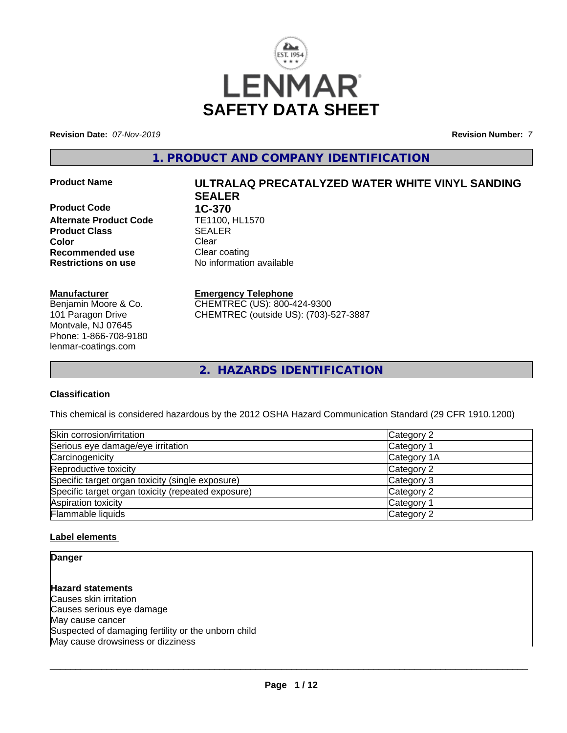

**Revision Date:** *07-Nov-2019* **Revision Number:** *7*

**1. PRODUCT AND COMPANY IDENTIFICATION**

**Product Code 1C-370<br>Alternate Product Code 1E1100. HL1570 Alternate Product Code TE1100, Froduct Class Product Class Color** Clear Clear **Recommended use** Clear coating **Restrictions on use** No information available

# **Manufacturer**

Benjamin Moore & Co. 101 Paragon Drive Montvale, NJ 07645 Phone: 1-866-708-9180 lenmar-coatings.com

# **Product Name ULTRALAQ PRECATALYZED WATER WHITE VINYL SANDING SEALER**

**Emergency Telephone**

CHEMTREC (US): 800-424-9300 CHEMTREC (outside US): (703)-527-3887

**2. HAZARDS IDENTIFICATION**

# **Classification**

This chemical is considered hazardous by the 2012 OSHA Hazard Communication Standard (29 CFR 1910.1200)

| Skin corrosion/irritation                          | Category 2  |
|----------------------------------------------------|-------------|
| Serious eye damage/eye irritation                  | Category 1  |
| Carcinogenicity                                    | Category 1A |
| Reproductive toxicity                              | Category 2  |
| Specific target organ toxicity (single exposure)   | Category 3  |
| Specific target organ toxicity (repeated exposure) | Category 2  |
| Aspiration toxicity                                | Category 1  |
| Flammable liquids                                  | Category 2  |

# **Label elements**

**Danger**

**Hazard statements** Causes skin irritation Causes serious eye damage May cause cancer Suspected of damaging fertility or the unborn child May cause drowsiness or dizziness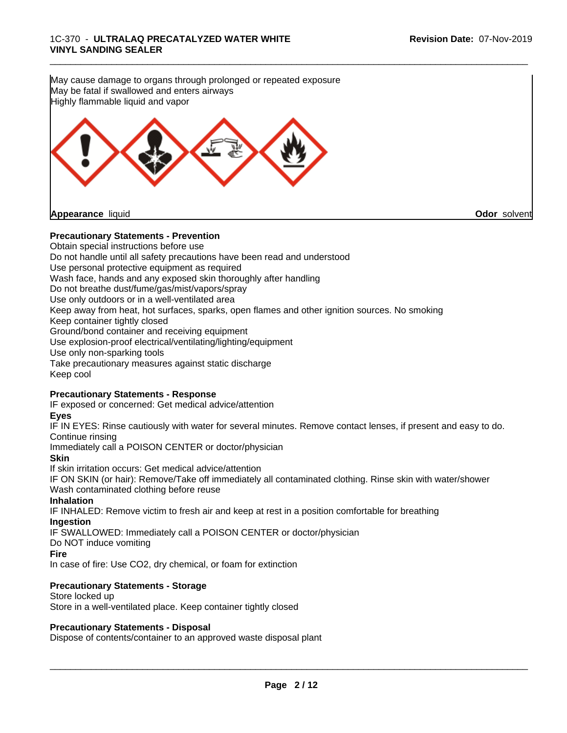May cause damage to organs through prolonged or repeated exposure May be fatal if swallowed and enters airways Highly flammable liquid and vapor **Appearance** liquid **Odor** solvent

\_\_\_\_\_\_\_\_\_\_\_\_\_\_\_\_\_\_\_\_\_\_\_\_\_\_\_\_\_\_\_\_\_\_\_\_\_\_\_\_\_\_\_\_\_\_\_\_\_\_\_\_\_\_\_\_\_\_\_\_\_\_\_\_\_\_\_\_\_\_\_\_\_\_\_\_\_\_\_\_\_\_\_\_\_\_\_\_\_\_\_\_\_

# **Precautionary Statements - Prevention**

Obtain special instructions before use Do not handle until all safety precautions have been read and understood Use personal protective equipment as required Wash face, hands and any exposed skin thoroughly after handling Do not breathe dust/fume/gas/mist/vapors/spray Use only outdoors or in a well-ventilated area Keep away from heat, hot surfaces, sparks, open flames and other ignition sources. No smoking Keep container tightly closed Ground/bond container and receiving equipment Use explosion-proof electrical/ventilating/lighting/equipment Use only non-sparking tools Take precautionary measures against static discharge Keep cool

# **Precautionary Statements - Response**

IF exposed or concerned: Get medical advice/attention

# **Eyes**

IF IN EYES: Rinse cautiously with water for several minutes. Remove contact lenses, if present and easy to do. Continue rinsing

Immediately call a POISON CENTER or doctor/physician

**Skin**

If skin irritation occurs: Get medical advice/attention IF ON SKIN (or hair): Remove/Take off immediately all contaminated clothing. Rinse skin with water/shower Wash contaminated clothing before reuse

# **Inhalation**

IF INHALED: Remove victim to fresh air and keep at rest in a position comfortable for breathing **Ingestion**

IF SWALLOWED: Immediately call a POISON CENTER or doctor/physician

Do NOT induce vomiting

# **Fire**

In case of fire: Use CO2, dry chemical, or foam for extinction

# **Precautionary Statements - Storage**

Store locked up Store in a well-ventilated place. Keep container tightly closed

# **Precautionary Statements - Disposal**

Dispose of contents/container to an approved waste disposal plant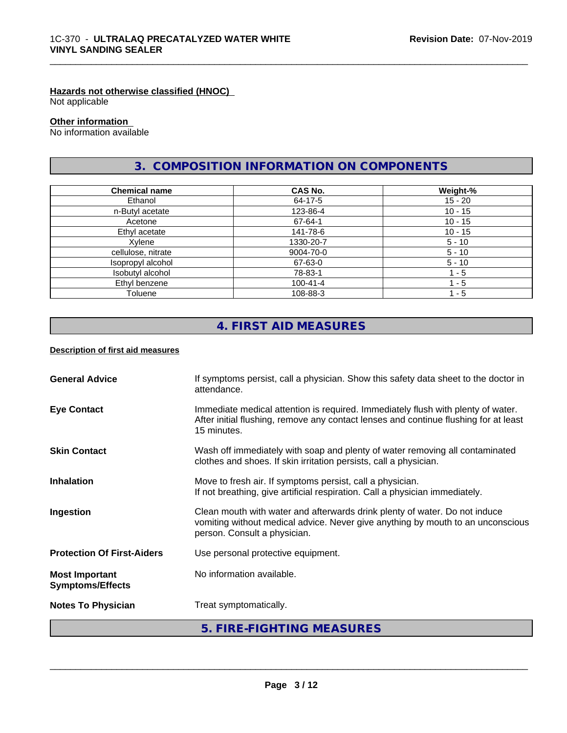# **Hazards not otherwise classified (HNOC)**

Not applicable

# **Other information**

No information available

# **3. COMPOSITION INFORMATION ON COMPONENTS**

\_\_\_\_\_\_\_\_\_\_\_\_\_\_\_\_\_\_\_\_\_\_\_\_\_\_\_\_\_\_\_\_\_\_\_\_\_\_\_\_\_\_\_\_\_\_\_\_\_\_\_\_\_\_\_\_\_\_\_\_\_\_\_\_\_\_\_\_\_\_\_\_\_\_\_\_\_\_\_\_\_\_\_\_\_\_\_\_\_\_\_\_\_

| <b>Chemical name</b> | <b>CAS No.</b> | Weight-%  |
|----------------------|----------------|-----------|
| Ethanol              | 64-17-5        | $15 - 20$ |
| n-Butyl acetate      | 123-86-4       | $10 - 15$ |
| Acetone              | 67-64-1        | $10 - 15$ |
| Ethyl acetate        | 141-78-6       | $10 - 15$ |
| Xylene               | 1330-20-7      | $5 - 10$  |
| cellulose, nitrate   | 9004-70-0      | $5 - 10$  |
| Isopropyl alcohol    | 67-63-0        | $5 - 10$  |
| Isobutyl alcohol     | 78-83-1        | 1 - 5     |
| Ethyl benzene        | 100-41-4       | - 5       |
| Toluene              | 108-88-3       | 1 - 5     |

# **4. FIRST AID MEASURES**

# **Description of first aid measures**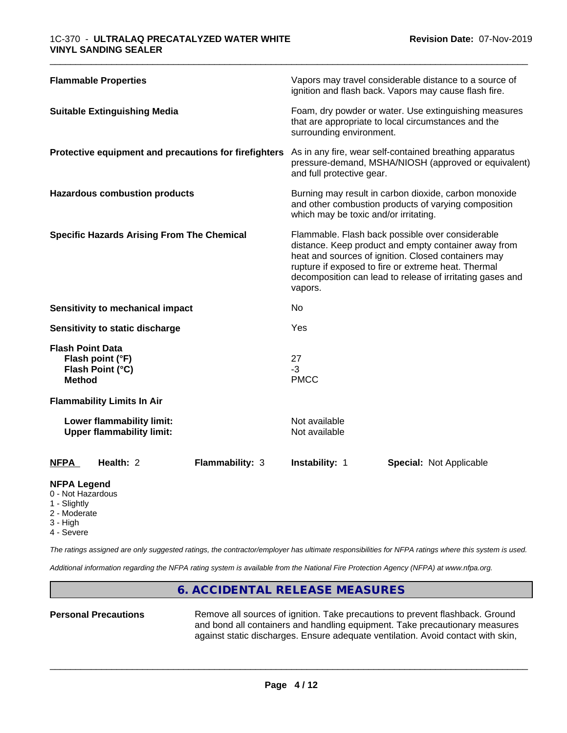| Vapors may travel considerable distance to a source of<br>ignition and flash back. Vapors may cause flash fire.<br>Foam, dry powder or water. Use extinguishing measures<br>that are appropriate to local circumstances and the<br>surrounding environment.<br>As in any fire, wear self-contained breathing apparatus<br>pressure-demand, MSHA/NIOSH (approved or equivalent)<br>and full protective gear.<br>Burning may result in carbon dioxide, carbon monoxide<br>and other combustion products of varying composition<br>which may be toxic and/or irritating.<br>Flammable. Flash back possible over considerable<br>distance. Keep product and empty container away from<br>heat and sources of ignition. Closed containers may<br>rupture if exposed to fire or extreme heat. Thermal<br>decomposition can lead to release of irritating gases and<br>vapors.<br>No<br>Yes<br>27<br>Flash point (°F)<br>$-3$<br>Flash Point (°C)<br><b>Method</b><br><b>PMCC</b><br>Not available<br>Lower flammability limit:<br><b>Upper flammability limit:</b><br>Not available<br>Health: 2<br>Flammability: 3<br><b>Instability: 1</b><br><b>Special: Not Applicable</b> |                             |  |
|--------------------------------------------------------------------------------------------------------------------------------------------------------------------------------------------------------------------------------------------------------------------------------------------------------------------------------------------------------------------------------------------------------------------------------------------------------------------------------------------------------------------------------------------------------------------------------------------------------------------------------------------------------------------------------------------------------------------------------------------------------------------------------------------------------------------------------------------------------------------------------------------------------------------------------------------------------------------------------------------------------------------------------------------------------------------------------------------------------------------------------------------------------------------------|-----------------------------|--|
| <b>Suitable Extinguishing Media</b><br>Protective equipment and precautions for firefighters<br><b>Hazardous combustion products</b><br><b>Specific Hazards Arising From The Chemical</b><br>Sensitivity to mechanical impact<br>Sensitivity to static discharge<br><b>Flash Point Data</b><br><b>Flammability Limits In Air</b><br><b>NFPA</b>                                                                                                                                                                                                                                                                                                                                                                                                                                                                                                                                                                                                                                                                                                                                                                                                                          | <b>Flammable Properties</b> |  |
|                                                                                                                                                                                                                                                                                                                                                                                                                                                                                                                                                                                                                                                                                                                                                                                                                                                                                                                                                                                                                                                                                                                                                                          |                             |  |
|                                                                                                                                                                                                                                                                                                                                                                                                                                                                                                                                                                                                                                                                                                                                                                                                                                                                                                                                                                                                                                                                                                                                                                          |                             |  |
|                                                                                                                                                                                                                                                                                                                                                                                                                                                                                                                                                                                                                                                                                                                                                                                                                                                                                                                                                                                                                                                                                                                                                                          |                             |  |
|                                                                                                                                                                                                                                                                                                                                                                                                                                                                                                                                                                                                                                                                                                                                                                                                                                                                                                                                                                                                                                                                                                                                                                          |                             |  |
|                                                                                                                                                                                                                                                                                                                                                                                                                                                                                                                                                                                                                                                                                                                                                                                                                                                                                                                                                                                                                                                                                                                                                                          |                             |  |
|                                                                                                                                                                                                                                                                                                                                                                                                                                                                                                                                                                                                                                                                                                                                                                                                                                                                                                                                                                                                                                                                                                                                                                          |                             |  |
|                                                                                                                                                                                                                                                                                                                                                                                                                                                                                                                                                                                                                                                                                                                                                                                                                                                                                                                                                                                                                                                                                                                                                                          |                             |  |
|                                                                                                                                                                                                                                                                                                                                                                                                                                                                                                                                                                                                                                                                                                                                                                                                                                                                                                                                                                                                                                                                                                                                                                          |                             |  |
|                                                                                                                                                                                                                                                                                                                                                                                                                                                                                                                                                                                                                                                                                                                                                                                                                                                                                                                                                                                                                                                                                                                                                                          |                             |  |
|                                                                                                                                                                                                                                                                                                                                                                                                                                                                                                                                                                                                                                                                                                                                                                                                                                                                                                                                                                                                                                                                                                                                                                          |                             |  |

# **NFPA Legend**

- 0 Not Hazardous
- 1 Slightly
- 2 Moderate
- 3 High
- 4 Severe

*The ratings assigned are only suggested ratings, the contractor/employer has ultimate responsibilities for NFPA ratings where this system is used.*

*Additional information regarding the NFPA rating system is available from the National Fire Protection Agency (NFPA) at www.nfpa.org.*

# **6. ACCIDENTAL RELEASE MEASURES**

Personal Precautions **Remove all sources of ignition.** Take precautions to prevent flashback. Ground and bond all containers and handling equipment. Take precautionary measures against static discharges. Ensure adequate ventilation. Avoid contact with skin,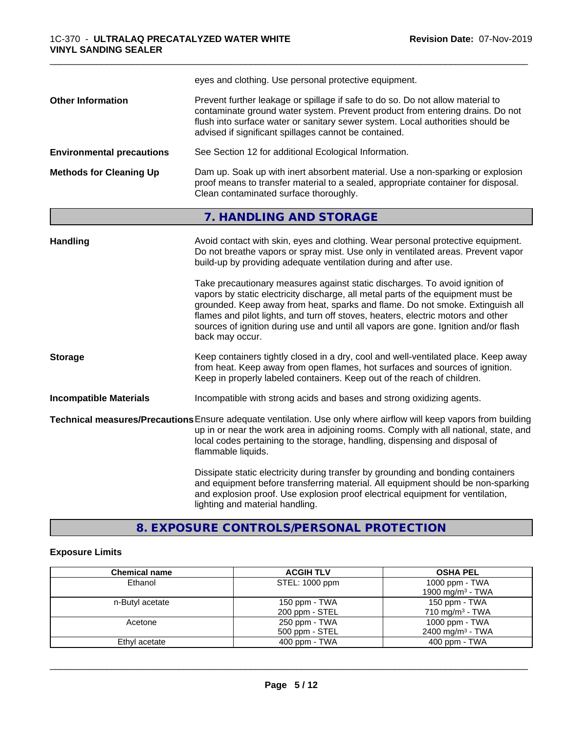|                                  | eyes and clothing. Use personal protective equipment.                                                                                                                                                                                                                                                                                                                                                                                          |
|----------------------------------|------------------------------------------------------------------------------------------------------------------------------------------------------------------------------------------------------------------------------------------------------------------------------------------------------------------------------------------------------------------------------------------------------------------------------------------------|
| <b>Other Information</b>         | Prevent further leakage or spillage if safe to do so. Do not allow material to<br>contaminate ground water system. Prevent product from entering drains. Do not<br>flush into surface water or sanitary sewer system. Local authorities should be<br>advised if significant spillages cannot be contained.                                                                                                                                     |
| <b>Environmental precautions</b> | See Section 12 for additional Ecological Information.                                                                                                                                                                                                                                                                                                                                                                                          |
| <b>Methods for Cleaning Up</b>   | Dam up. Soak up with inert absorbent material. Use a non-sparking or explosion<br>proof means to transfer material to a sealed, appropriate container for disposal.<br>Clean contaminated surface thoroughly.                                                                                                                                                                                                                                  |
|                                  | 7. HANDLING AND STORAGE                                                                                                                                                                                                                                                                                                                                                                                                                        |
| <b>Handling</b>                  | Avoid contact with skin, eyes and clothing. Wear personal protective equipment.<br>Do not breathe vapors or spray mist. Use only in ventilated areas. Prevent vapor<br>build-up by providing adequate ventilation during and after use.                                                                                                                                                                                                        |
|                                  | Take precautionary measures against static discharges. To avoid ignition of<br>vapors by static electricity discharge, all metal parts of the equipment must be<br>grounded. Keep away from heat, sparks and flame. Do not smoke. Extinguish all<br>flames and pilot lights, and turn off stoves, heaters, electric motors and other<br>sources of ignition during use and until all vapors are gone. Ignition and/or flash<br>back may occur. |
| <b>Storage</b>                   | Keep containers tightly closed in a dry, cool and well-ventilated place. Keep away<br>from heat. Keep away from open flames, hot surfaces and sources of ignition.<br>Keep in properly labeled containers. Keep out of the reach of children.                                                                                                                                                                                                  |
| <b>Incompatible Materials</b>    | Incompatible with strong acids and bases and strong oxidizing agents.                                                                                                                                                                                                                                                                                                                                                                          |
|                                  | Technical measures/Precautions Ensure adequate ventilation. Use only where airflow will keep vapors from building<br>up in or near the work area in adjoining rooms. Comply with all national, state, and<br>local codes pertaining to the storage, handling, dispensing and disposal of<br>flammable liquids.                                                                                                                                 |
|                                  | Dissipate static electricity during transfer by grounding and bonding containers<br>and equipment before transferring material. All equipment should be non-sparking<br>and explosion proof. Use explosion proof electrical equipment for ventilation,<br>lighting and material handling.                                                                                                                                                      |

\_\_\_\_\_\_\_\_\_\_\_\_\_\_\_\_\_\_\_\_\_\_\_\_\_\_\_\_\_\_\_\_\_\_\_\_\_\_\_\_\_\_\_\_\_\_\_\_\_\_\_\_\_\_\_\_\_\_\_\_\_\_\_\_\_\_\_\_\_\_\_\_\_\_\_\_\_\_\_\_\_\_\_\_\_\_\_\_\_\_\_\_\_

**8. EXPOSURE CONTROLS/PERSONAL PROTECTION**

# **Exposure Limits**

| <b>Chemical name</b> | <b>ACGIH TLV</b> | <b>OSHA PEL</b>              |
|----------------------|------------------|------------------------------|
| Ethanol              | STEL: 1000 ppm   | 1000 ppm - TWA               |
|                      |                  | 1900 mg/m <sup>3</sup> - TWA |
| n-Butyl acetate      | 150 ppm - TWA    | 150 ppm - TWA                |
|                      | 200 ppm - STEL   | 710 mg/m <sup>3</sup> - TWA  |
| Acetone              | 250 ppm - TWA    | 1000 ppm - TWA               |
|                      | 500 ppm - STEL   | 2400 mg/m <sup>3</sup> - TWA |
| Ethyl acetate        | 400 ppm - TWA    | $400$ ppm - TWA              |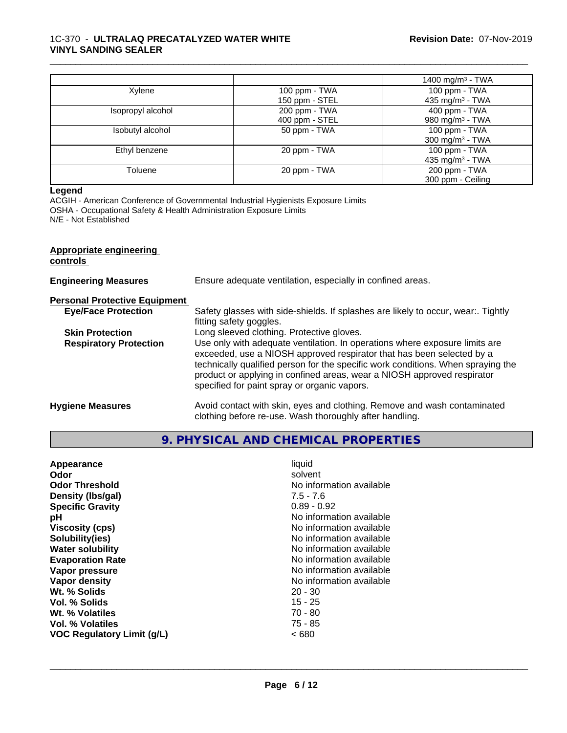# 1C-370 - **ULTRALAQ PRECATALYZED WATER WHITE VINYL SANDING SEALER**

|                   |                                 | 1400 mg/m <sup>3</sup> - TWA                 |
|-------------------|---------------------------------|----------------------------------------------|
| Xylene            | 100 ppm - TWA<br>150 ppm - STEL | 100 ppm - TWA<br>435 mg/m <sup>3</sup> - TWA |
| Isopropyl alcohol | 200 ppm - TWA<br>400 ppm - STEL | 400 ppm - TWA<br>980 mg/m <sup>3</sup> - TWA |
| Isobutyl alcohol  | 50 ppm - TWA                    | 100 ppm - TWA<br>300 mg/m $3$ - TWA          |
| Ethyl benzene     | 20 ppm - TWA                    | 100 ppm - TWA<br>435 mg/m <sup>3</sup> - TWA |
| Toluene           | 20 ppm - TWA                    | 200 ppm - TWA<br>300 ppm - Ceiling           |

\_\_\_\_\_\_\_\_\_\_\_\_\_\_\_\_\_\_\_\_\_\_\_\_\_\_\_\_\_\_\_\_\_\_\_\_\_\_\_\_\_\_\_\_\_\_\_\_\_\_\_\_\_\_\_\_\_\_\_\_\_\_\_\_\_\_\_\_\_\_\_\_\_\_\_\_\_\_\_\_\_\_\_\_\_\_\_\_\_\_\_\_\_

#### **Legend**

ACGIH - American Conference of Governmental Industrial Hygienists Exposure Limits OSHA - Occupational Safety & Health Administration Exposure Limits N/E - Not Established

| Appropriate engineering<br>controls  |                                                                                                                                                                                                                                                                                                                                                                     |
|--------------------------------------|---------------------------------------------------------------------------------------------------------------------------------------------------------------------------------------------------------------------------------------------------------------------------------------------------------------------------------------------------------------------|
| <b>Engineering Measures</b>          | Ensure adequate ventilation, especially in confined areas.                                                                                                                                                                                                                                                                                                          |
| <b>Personal Protective Equipment</b> |                                                                                                                                                                                                                                                                                                                                                                     |
| <b>Eye/Face Protection</b>           | Safety glasses with side-shields. If splashes are likely to occur, wear:. Tightly<br>fitting safety goggles.                                                                                                                                                                                                                                                        |
| <b>Skin Protection</b>               | Long sleeved clothing. Protective gloves.                                                                                                                                                                                                                                                                                                                           |
| <b>Respiratory Protection</b>        | Use only with adequate ventilation. In operations where exposure limits are<br>exceeded, use a NIOSH approved respirator that has been selected by a<br>technically qualified person for the specific work conditions. When spraying the<br>product or applying in confined areas, wear a NIOSH approved respirator<br>specified for paint spray or organic vapors. |
| <b>Hygiene Measures</b>              | Avoid contact with skin, eyes and clothing. Remove and wash contaminated<br>clothing before re-use. Wash thoroughly after handling.                                                                                                                                                                                                                                 |

# **9. PHYSICAL AND CHEMICAL PROPERTIES**

| No information available<br>Vapor pressure<br>No information available<br>Vapor density<br>Wt. % Solids<br>$20 - 30$<br>$15 - 25$<br>Vol. % Solids<br>70 - 80<br><b>Wt. % Volatiles</b><br>Vol. % Volatiles<br>75 - 85<br>~< 680<br>VOC Regulatory Limit (g/L) | Appearance<br>Odor<br><b>Odor Threshold</b><br>Density (Ibs/gal)<br><b>Specific Gravity</b><br>рH<br><b>Viscosity (cps)</b><br>Solubility(ies)<br><b>Water solubility</b><br><b>Evaporation Rate</b> | liquid<br>solvent<br>No information available<br>$7.5 - 7.6$<br>$0.89 - 0.92$<br>No information available<br>No information available<br>No information available<br>No information available<br>No information available |
|----------------------------------------------------------------------------------------------------------------------------------------------------------------------------------------------------------------------------------------------------------------|------------------------------------------------------------------------------------------------------------------------------------------------------------------------------------------------------|---------------------------------------------------------------------------------------------------------------------------------------------------------------------------------------------------------------------------|
|----------------------------------------------------------------------------------------------------------------------------------------------------------------------------------------------------------------------------------------------------------------|------------------------------------------------------------------------------------------------------------------------------------------------------------------------------------------------------|---------------------------------------------------------------------------------------------------------------------------------------------------------------------------------------------------------------------------|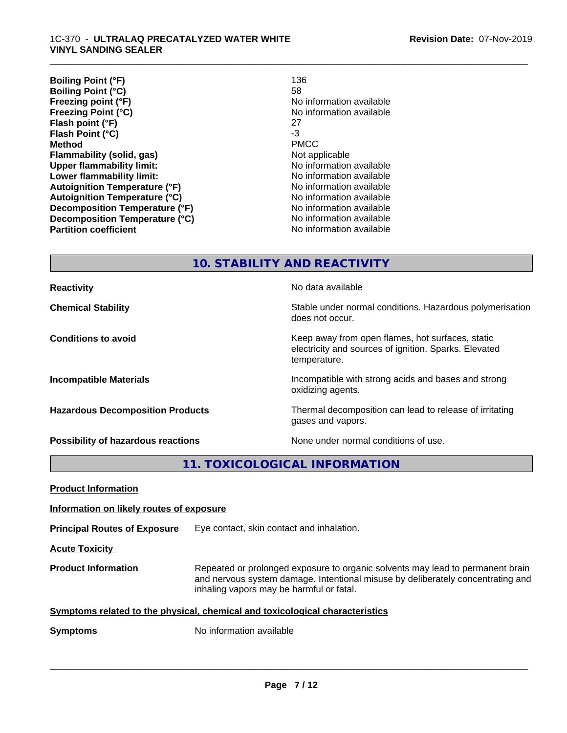| <b>Boiling Point (°F)</b>             | 136                      |
|---------------------------------------|--------------------------|
| <b>Boiling Point (°C)</b>             | 58                       |
| Freezing point (°F)                   | No information available |
| <b>Freezing Point (°C)</b>            | No information available |
| Flash point (°F)                      | 27                       |
| Flash Point (°C)                      | -3                       |
| <b>Method</b>                         | <b>PMCC</b>              |
| Flammability (solid, gas)             | Not applicable           |
| <b>Upper flammability limit:</b>      | No information available |
| Lower flammability limit:             | No information available |
| <b>Autoignition Temperature (°F)</b>  | No information available |
| <b>Autoignition Temperature (°C)</b>  | No information available |
| <b>Decomposition Temperature (°F)</b> | No information available |
| Decomposition Temperature (°C)        | No information available |
| <b>Partition coefficient</b>          | No information available |

\_\_\_\_\_\_\_\_\_\_\_\_\_\_\_\_\_\_\_\_\_\_\_\_\_\_\_\_\_\_\_\_\_\_\_\_\_\_\_\_\_\_\_\_\_\_\_\_\_\_\_\_\_\_\_\_\_\_\_\_\_\_\_\_\_\_\_\_\_\_\_\_\_\_\_\_\_\_\_\_\_\_\_\_\_\_\_\_\_\_\_\_\_

**10. STABILITY AND REACTIVITY**

**Reactivity No data available No data available Chemical Stability Stability** Stable under normal conditions. Hazardous polymerisation does not occur. **Conditions to avoid Conditions to avoid Conditions keep** away from open flames, hot surfaces, static electricity and sources of ignition. Sparks. Elevated temperature. **Incompatible Materials Incompatible with strong acids and bases and strong** oxidizing agents. **Hazardous Decomposition Products** Thermal decomposition can lead to release of irritating gases and vapors. **Possibility of hazardous reactions** None under normal conditions of use.

**11. TOXICOLOGICAL INFORMATION**

| <b>Product Information</b>                                                   |                                                                                                                                                                                                               |
|------------------------------------------------------------------------------|---------------------------------------------------------------------------------------------------------------------------------------------------------------------------------------------------------------|
| Information on likely routes of exposure                                     |                                                                                                                                                                                                               |
| <b>Principal Routes of Exposure</b>                                          | Eye contact, skin contact and inhalation.                                                                                                                                                                     |
| <b>Acute Toxicity</b>                                                        |                                                                                                                                                                                                               |
| <b>Product Information</b>                                                   | Repeated or prolonged exposure to organic solvents may lead to permanent brain<br>and nervous system damage. Intentional misuse by deliberately concentrating and<br>inhaling vapors may be harmful or fatal. |
| Symptoms related to the physical, chemical and toxicological characteristics |                                                                                                                                                                                                               |
| <b>Symptoms</b>                                                              | No information available                                                                                                                                                                                      |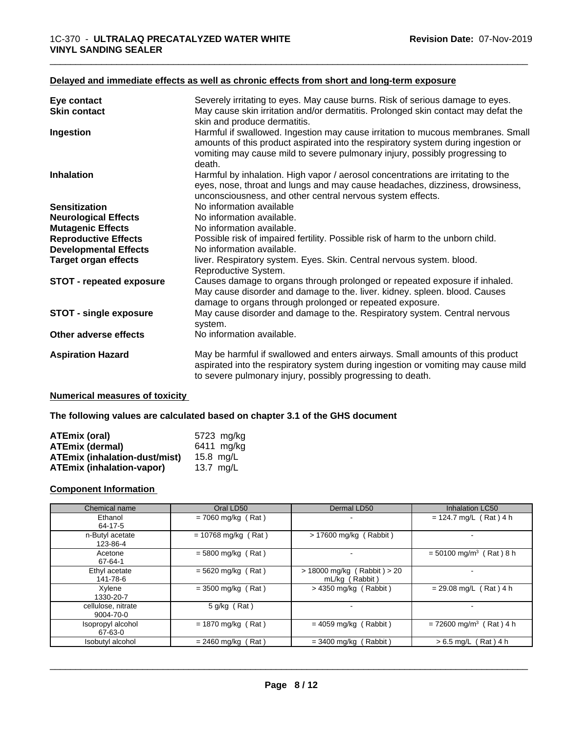# **Delayed and immediate effects as well as chronic effects from short and long-term exposure**

| Eye contact                     | Severely irritating to eyes. May cause burns. Risk of serious damage to eyes.                                                                                                                                                                                 |
|---------------------------------|---------------------------------------------------------------------------------------------------------------------------------------------------------------------------------------------------------------------------------------------------------------|
| <b>Skin contact</b>             | May cause skin irritation and/or dermatitis. Prolonged skin contact may defat the<br>skin and produce dermatitis.                                                                                                                                             |
| Ingestion                       | Harmful if swallowed. Ingestion may cause irritation to mucous membranes. Small<br>amounts of this product aspirated into the respiratory system during ingestion or<br>vomiting may cause mild to severe pulmonary injury, possibly progressing to<br>death. |
| <b>Inhalation</b>               | Harmful by inhalation. High vapor / aerosol concentrations are irritating to the<br>eyes, nose, throat and lungs and may cause headaches, dizziness, drowsiness,<br>unconsciousness, and other central nervous system effects.                                |
| <b>Sensitization</b>            | No information available                                                                                                                                                                                                                                      |
| <b>Neurological Effects</b>     | No information available.                                                                                                                                                                                                                                     |
| <b>Mutagenic Effects</b>        | No information available.                                                                                                                                                                                                                                     |
| <b>Reproductive Effects</b>     | Possible risk of impaired fertility. Possible risk of harm to the unborn child.                                                                                                                                                                               |
| <b>Developmental Effects</b>    | No information available.                                                                                                                                                                                                                                     |
| <b>Target organ effects</b>     | liver. Respiratory system. Eyes. Skin. Central nervous system. blood.<br>Reproductive System.                                                                                                                                                                 |
| <b>STOT - repeated exposure</b> | Causes damage to organs through prolonged or repeated exposure if inhaled.<br>May cause disorder and damage to the. liver. kidney. spleen. blood. Causes<br>damage to organs through prolonged or repeated exposure.                                          |
| <b>STOT - single exposure</b>   | May cause disorder and damage to the. Respiratory system. Central nervous<br>system.                                                                                                                                                                          |
| Other adverse effects           | No information available.                                                                                                                                                                                                                                     |
| <b>Aspiration Hazard</b>        | May be harmful if swallowed and enters airways. Small amounts of this product<br>aspirated into the respiratory system during ingestion or vomiting may cause mild<br>to severe pulmonary injury, possibly progressing to death.                              |

#### **Numerical measures of toxicity**

**The following values are calculated based on chapter 3.1 of the GHS document**

| <b>ATEmix (oral)</b>                 | 5723 mg/kg   |
|--------------------------------------|--------------|
| <b>ATEmix (dermal)</b>               | $6411$ mg/kg |
| <b>ATEmix (inhalation-dust/mist)</b> | 15.8 ma/L    |
| <b>ATEmix (inhalation-vapor)</b>     | 13.7 ma/L    |

# **Component Information**

| Chemical name                   | Oral LD50             | Dermal LD50                                       | Inhalation LC50                       |
|---------------------------------|-----------------------|---------------------------------------------------|---------------------------------------|
| Ethanol<br>64-17-5              | $= 7060$ mg/kg (Rat)  | -                                                 | $= 124.7$ mg/L (Rat) 4 h              |
| n-Butyl acetate<br>123-86-4     | $= 10768$ mg/kg (Rat) | > 17600 mg/kg (Rabbit)                            |                                       |
| Acetone<br>67-64-1              | $= 5800$ mg/kg (Rat)  |                                                   | $=$ 50100 mg/m <sup>3</sup> (Rat) 8 h |
| Ethyl acetate<br>141-78-6       | $= 5620$ mg/kg (Rat)  | $> 18000$ mg/kg (Rabbit) $> 20$<br>mL/kg (Rabbit) |                                       |
| Xylene<br>1330-20-7             | $=$ 3500 mg/kg (Rat)  | $>$ 4350 mg/kg (Rabbit)                           | $= 29.08$ mg/L (Rat) 4 h              |
| cellulose, nitrate<br>9004-70-0 | 5 q/kg (Rat)          |                                                   |                                       |
| Isopropyl alcohol<br>67-63-0    | $= 1870$ mg/kg (Rat)  | $= 4059$ mg/kg (Rabbit)                           | $= 72600$ mg/m <sup>3</sup> (Rat) 4 h |
| Isobutyl alcohol                | $= 2460$ mg/kg (Rat)  | $=$ 3400 mg/kg (Rabbit)                           | $> 6.5$ mg/L (Rat) 4 h                |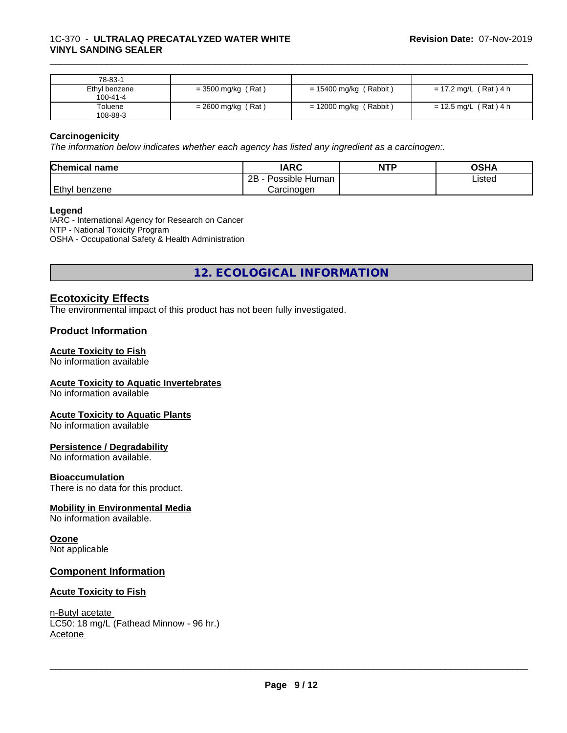# 1C-370 - **ULTRALAQ PRECATALYZED WATER WHITE VINYL SANDING SEALER**

| 78-83-1       |                      |                          |                       |
|---------------|----------------------|--------------------------|-----------------------|
| Ethyl benzene | $=$ 3500 mg/kg (Rat) | $= 15400$ mg/kg (Rabbit) | = 17.2 mg/L (Rat) 4 h |
| 100-41-4      |                      |                          |                       |
| Toluene       | $= 2600$ mg/kg (Rat) | $= 12000$ mg/kg (Rabbit) | = 12.5 mg/L (Rat) 4 h |
| 108-88-3      |                      |                          |                       |

\_\_\_\_\_\_\_\_\_\_\_\_\_\_\_\_\_\_\_\_\_\_\_\_\_\_\_\_\_\_\_\_\_\_\_\_\_\_\_\_\_\_\_\_\_\_\_\_\_\_\_\_\_\_\_\_\_\_\_\_\_\_\_\_\_\_\_\_\_\_\_\_\_\_\_\_\_\_\_\_\_\_\_\_\_\_\_\_\_\_\_\_\_

# **Carcinogenicity**

*The information below indicateswhether each agency has listed any ingredient as a carcinogen:.*

| <b>Chemical name</b> | <b>IARC</b>          | <b>NTP</b> | OSHA   |
|----------------------|----------------------|------------|--------|
|                      | Possible Human<br>2B |            | Listed |
| Ethyl<br>i benzene   | Carcinogen           |            |        |

# **Legend**

IARC - International Agency for Research on Cancer NTP - National Toxicity Program OSHA - Occupational Safety & Health Administration

**12. ECOLOGICAL INFORMATION**

# **Ecotoxicity Effects**

The environmental impact of this product has not been fully investigated.

# **Product Information**

# **Acute Toxicity to Fish**

No information available

# **Acute Toxicity to Aquatic Invertebrates**

No information available

# **Acute Toxicity to Aquatic Plants**

No information available

# **Persistence / Degradability**

No information available.

#### **Bioaccumulation**

There is no data for this product.

# **Mobility in Environmental Media**

No information available.

# **Ozone**

Not applicable

# **Component Information**

# **Acute Toxicity to Fish**

n-Butyl acetate LC50: 18 mg/L (Fathead Minnow - 96 hr.) Acetone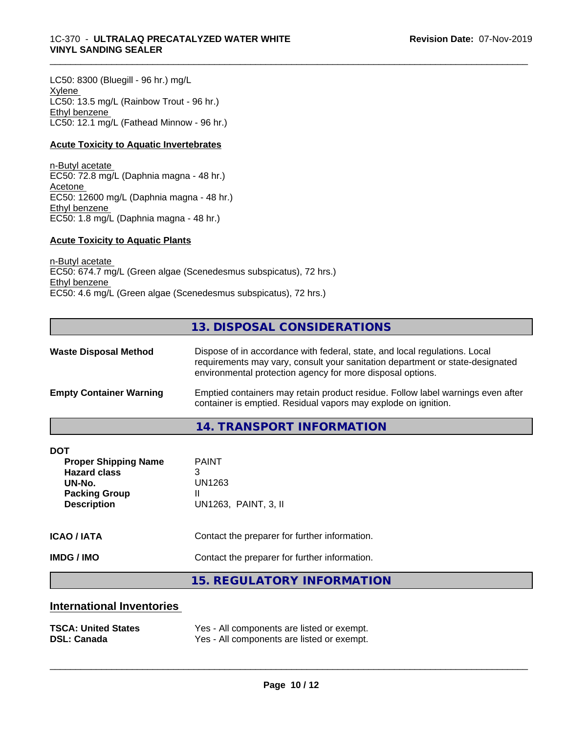# 1C-370 - **ULTRALAQ PRECATALYZED WATER WHITE VINYL SANDING SEALER**

LC50: 8300 (Bluegill - 96 hr.) mg/L Xylene LC50: 13.5 mg/L (Rainbow Trout - 96 hr.) Ethyl benzene LC50: 12.1 mg/L (Fathead Minnow - 96 hr.)

# **Acute Toxicity to Aquatic Invertebrates**

n-Butyl acetate EC50: 72.8 mg/L (Daphnia magna - 48 hr.) Acetone EC50: 12600 mg/L (Daphnia magna - 48 hr.) Ethyl benzene EC50: 1.8 mg/L (Daphnia magna - 48 hr.)

# **Acute Toxicity to Aquatic Plants**

n-Butyl acetate EC50: 674.7 mg/L (Green algae (Scenedesmus subspicatus), 72 hrs.) Ethyl benzene EC50: 4.6 mg/L (Green algae (Scenedesmus subspicatus), 72 hrs.)

# **13. DISPOSAL CONSIDERATIONS**

\_\_\_\_\_\_\_\_\_\_\_\_\_\_\_\_\_\_\_\_\_\_\_\_\_\_\_\_\_\_\_\_\_\_\_\_\_\_\_\_\_\_\_\_\_\_\_\_\_\_\_\_\_\_\_\_\_\_\_\_\_\_\_\_\_\_\_\_\_\_\_\_\_\_\_\_\_\_\_\_\_\_\_\_\_\_\_\_\_\_\_\_\_

| <b>Waste Disposal Method</b>   | Dispose of in accordance with federal, state, and local regulations. Local<br>requirements may vary, consult your sanitation department or state-designated<br>environmental protection agency for more disposal options. |
|--------------------------------|---------------------------------------------------------------------------------------------------------------------------------------------------------------------------------------------------------------------------|
| <b>Empty Container Warning</b> | Emptied containers may retain product residue. Follow label warnings even after<br>container is emptied. Residual vapors may explode on ignition.                                                                         |

# **14. TRANSPORT INFORMATION**

| <b>ICAO / IATA</b>                                                                                                       | Contact the preparer for further information.            |
|--------------------------------------------------------------------------------------------------------------------------|----------------------------------------------------------|
| <b>IMDG / IMO</b>                                                                                                        | Contact the preparer for further information.            |
| <b>DOT</b><br><b>Proper Shipping Name</b><br><b>Hazard class</b><br>UN-No.<br><b>Packing Group</b><br><b>Description</b> | <b>PAINT</b><br>3<br>UN1263<br>Ш<br>UN1263, PAINT, 3, II |

# **15. REGULATORY INFORMATION**

# **International Inventories**

| <b>TSCA: United States</b> | Yes - All components are listed or exempt. |
|----------------------------|--------------------------------------------|
| <b>DSL: Canada</b>         | Yes - All components are listed or exempt. |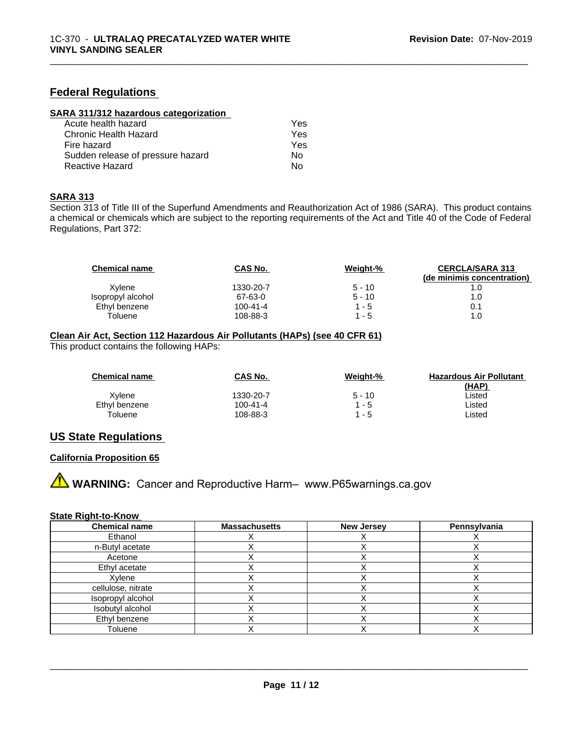# **Federal Regulations**

| SARA 311/312 hazardous categorization |     |  |
|---------------------------------------|-----|--|
| Acute health hazard                   | Yes |  |
| Chronic Health Hazard                 | Yes |  |
| Fire hazard                           | Yes |  |
| Sudden release of pressure hazard     | No. |  |
| <b>Reactive Hazard</b>                | No  |  |

#### **SARA 313**

Section 313 of Title III of the Superfund Amendments and Reauthorization Act of 1986 (SARA). This product contains a chemical or chemicals which are subject to the reporting requirements of the Act and Title 40 of the Code of Federal Regulations, Part 372:

\_\_\_\_\_\_\_\_\_\_\_\_\_\_\_\_\_\_\_\_\_\_\_\_\_\_\_\_\_\_\_\_\_\_\_\_\_\_\_\_\_\_\_\_\_\_\_\_\_\_\_\_\_\_\_\_\_\_\_\_\_\_\_\_\_\_\_\_\_\_\_\_\_\_\_\_\_\_\_\_\_\_\_\_\_\_\_\_\_\_\_\_\_

| CAS No.        | Weight-% | <b>CERCLA/SARA 313</b>     |
|----------------|----------|----------------------------|
|                |          | (de minimis concentration) |
| 1330-20-7      | $5 - 10$ | 1.0                        |
| 67-63-0        | $5 - 10$ | 1.0                        |
| $100 - 41 - 4$ | $1 - 5$  | 0.1                        |
| 108-88-3       | $1 - 5$  | 1.0                        |
|                |          |                            |

# **Clean Air Act,Section 112 Hazardous Air Pollutants (HAPs) (see 40 CFR 61)**

This product contains the following HAPs:

| <b>Chemical name</b> | <b>CAS No.</b> | Weight-% | <b>Hazardous Air Pollutant</b> |
|----------------------|----------------|----------|--------------------------------|
|                      |                |          | (HAP)                          |
| Xvlene               | 1330-20-7      | $5 - 10$ | ∟isted                         |
| Ethyl benzene        | 100-41-4       | 1 - 5    | ∟isted                         |
| Toluene              | 108-88-3       | 1 - 5    | ∟isted                         |

# **US State Regulations**

# **California Proposition 65**

**A WARNING:** Cancer and Reproductive Harm– www.P65warnings.ca.gov

#### **State Right-to-Know**

| <b>Chemical name</b> | <b>Massachusetts</b> | <b>New Jersey</b> | Pennsylvania |
|----------------------|----------------------|-------------------|--------------|
| Ethanol              |                      |                   |              |
| n-Butyl acetate      |                      |                   |              |
| Acetone              |                      |                   |              |
| Ethyl acetate        |                      |                   |              |
| Xylene               |                      |                   |              |
| cellulose, nitrate   |                      |                   |              |
| Isopropyl alcohol    |                      |                   |              |
| Isobutyl alcohol     |                      |                   |              |
| Ethyl benzene        |                      |                   |              |
| Toluene              |                      |                   |              |